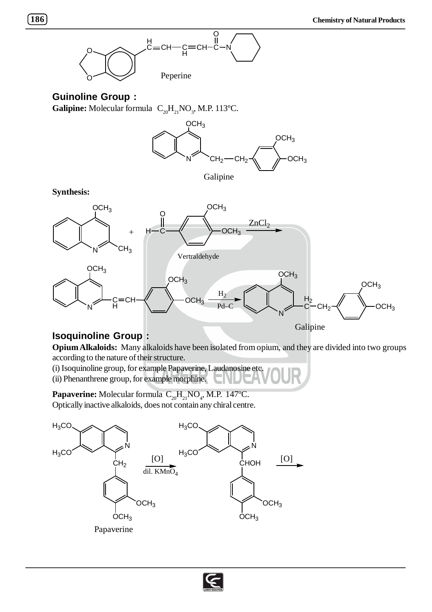

## **Guinoline Group :**

**Galipine:** Molecular formula  $C_{20} H_{21} NO_3$ , M.P. 113°C.



**Synthesis:**



## **Isoquinoline Group :**

**Opium Alkaloids:** Many alkaloids have been isolated from opium, and they are divided into two groups according to the nature of their structure.

(i) Isoquinoline group, for example Papaverine, Laudanosine etc. (ii) Phenanthrene group, for example morphine.

**Papaverine:** Molecular formula  $C_{20}H_{21}NO_4$ , M.P. 147°C. Optically inactive alkaloids, does not contain any chiral centre.